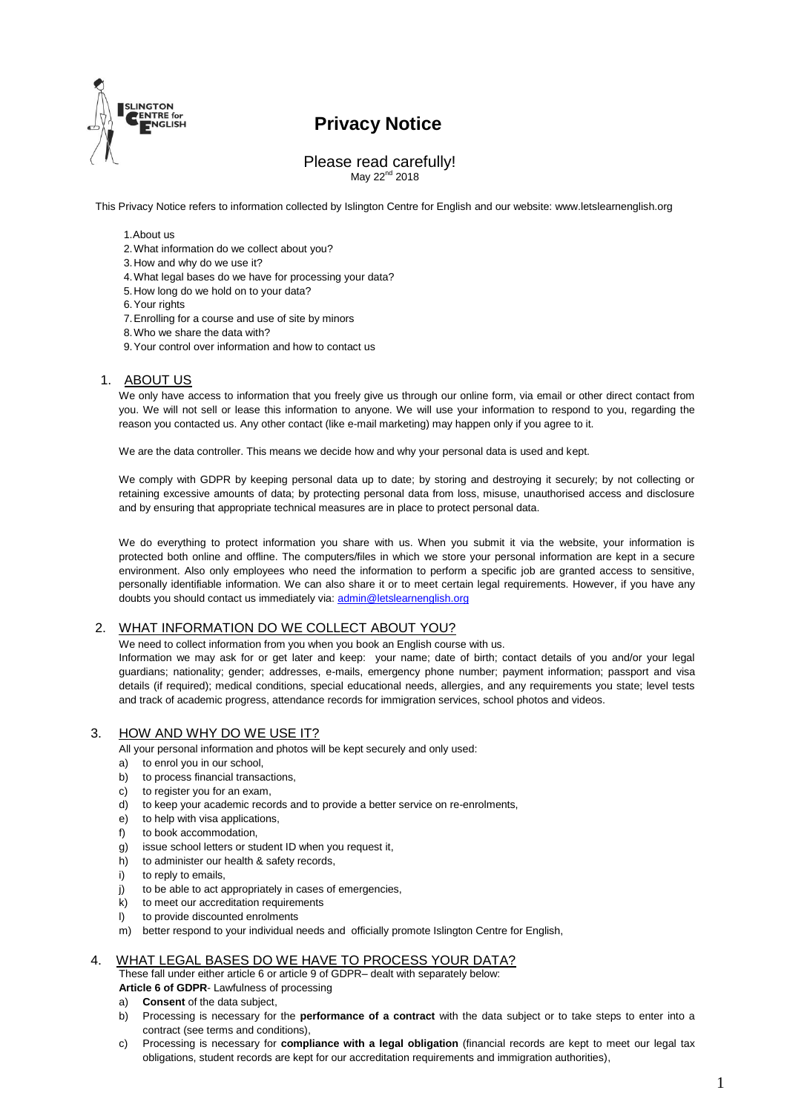

# **Privacy Notice**

#### Please read carefully! May 22<sup>nd</sup> 2018

This Privacy Notice refers to information collected by Islington Centre for English and our website: [www.letslearnenglish.org](http://www.letslearnenglish.org/)

#### 1.About us

- 2.What information do we collect about you?
- 3.How and why do we use it?
- 4.What legal bases do we have for processing your data?
- 5.How long do we hold on to your data?
- 6.Your rights
- 7.Enrolling for a course and use of site by minors
- 8.Who we share the data with?
- 9.Your control over information and how to contact us

### 1. ABOUT US

We only have access to information that you freely give us through our online form, via email or other direct contact from you. We will not sell or lease this information to anyone. We will use your information to respond to you, regarding the reason you contacted us. Any other contact (like e-mail marketing) may happen only if you agree to it.

We are the data controller. This means we decide how and why your personal data is used and kept.

We comply with GDPR by keeping personal data up to date; by storing and destroying it securely; by not collecting or retaining excessive amounts of data; by protecting personal data from loss, misuse, unauthorised access and disclosure and by ensuring that appropriate technical measures are in place to protect personal data.

We do everything to protect information you share with us. When you submit it via the website, your information is protected both online and offline. The computers/files in which we store your personal information are kept in a secure environment. Also only employees who need the information to perform a specific job are granted access to sensitive, personally identifiable information. We can also share it or to meet certain legal requirements. However, if you have any doubts you should contact us immediately via[: admin@letslearnenglish.org](mailto:admin@letslearnenglish.org)

#### 2. WHAT INFORMATION DO WE COLLECT ABOUT YOU?

We need to collect information from you when you book an English course with us.

Information we may ask for or get later and keep: your name; date of birth; contact details of you and/or your legal guardians; nationality; gender; addresses, e-mails, emergency phone number; payment information; passport and visa details (if required); medical conditions, special educational needs, allergies, and any requirements you state; level tests and track of academic progress, attendance records for immigration services, school photos and videos.

## 3. HOW AND WHY DO WE USE IT?

All your personal information and photos will be kept securely and only used:

- a) to enrol you in our school,
- b) to process financial transactions,
- c) to register you for an exam.
- d) to keep your academic records and to provide a better service on re-enrolments,
- e) to help with visa applications,
- f) to book accommodation,
- g) issue school letters or student ID when you request it,
- h) to administer our health & safety records,
- i) to reply to emails,
- j) to be able to act appropriately in cases of emergencies,
- k) to meet our accreditation requirements
- l) to provide discounted enrolments
- m) better respond to your individual needs and officially promote Islington Centre for English,

## WHAT LEGAL BASES DO WE HAVE TO PROCESS YOUR DATA?

These fall under either article 6 or article 9 of GDPR– dealt with separately below:

**Article 6 of GDPR**- Lawfulness of processing

- a) **Consent** of the data subject,
- b) Processing is necessary for the **performance of a contract** with the data subject or to take steps to enter into a contract (see terms and conditions),
- c) Processing is necessary for **compliance with a legal obligation** (financial records are kept to meet our legal tax obligations, student records are kept for our accreditation requirements and immigration authorities),